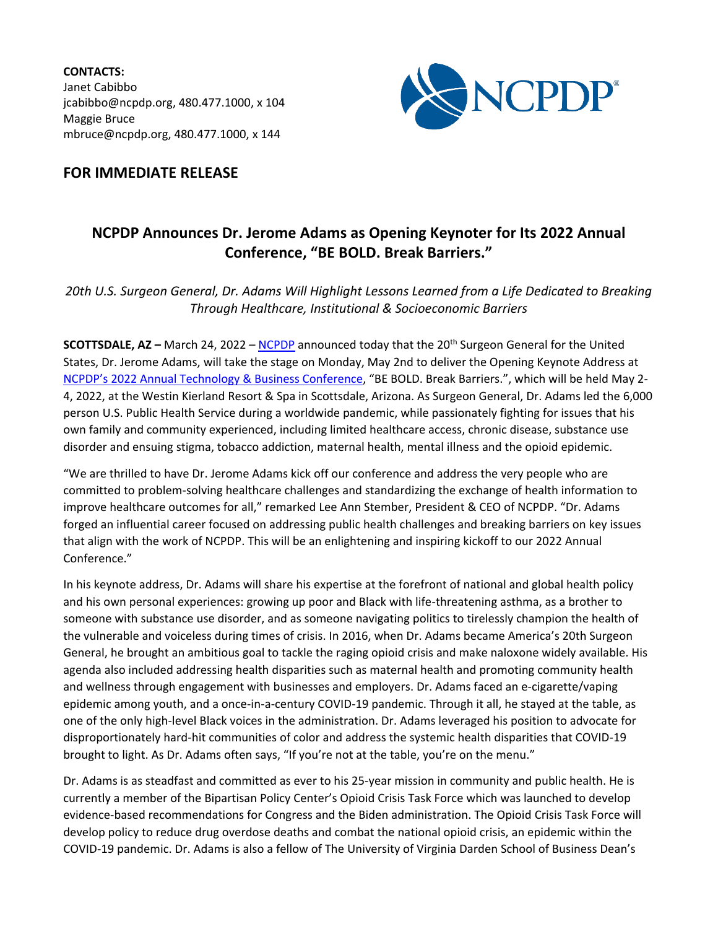**CONTACTS:** Janet Cabibbo jcabibbo@ncpdp.org, 480.477.1000, x 104 Maggie Bruce mbruce@ncpdp.org, 480.477.1000, x 144



## **FOR IMMEDIATE RELEASE**

## **NCPDP Announces Dr. Jerome Adams as Opening Keynoter for Its 2022 Annual Conference, "BE BOLD. Break Barriers."**

*20th U.S. Surgeon General, Dr. Adams Will Highlight Lessons Learned from a Life Dedicated to Breaking Through Healthcare, Institutional & Socioeconomic Barriers*

**SCOTTSDALE, AZ –** March 24, 2022 – [NCPDP](http://www.ncpdp.org/) announced today that the 20th Surgeon General for the United States, Dr. Jerome Adams, will take the stage on Monday, May 2nd to deliver the Opening Keynote Address at [NCPDP's 2022 Annual Technology & Business Conference,](https://ncpdp.org/ac/index.aspx) "BE BOLD. Break Barriers.", which will be held May 2- 4, 2022, at the Westin Kierland Resort & Spa in Scottsdale, Arizona. As Surgeon General, Dr. Adams led the 6,000 person U.S. Public Health Service during a worldwide pandemic, while passionately fighting for issues that his own family and community experienced, including limited healthcare access, chronic disease, substance use disorder and ensuing stigma, tobacco addiction, maternal health, mental illness and the opioid epidemic.

"We are thrilled to have Dr. Jerome Adams kick off our conference and address the very people who are committed to problem-solving healthcare challenges and standardizing the exchange of health information to improve healthcare outcomes for all," remarked Lee Ann Stember, President & CEO of NCPDP. "Dr. Adams forged an influential career focused on addressing public health challenges and breaking barriers on key issues that align with the work of NCPDP. This will be an enlightening and inspiring kickoff to our 2022 Annual Conference."

In his keynote address, Dr. Adams will share his expertise at the forefront of national and global health policy and his own personal experiences: growing up poor and Black with life-threatening asthma, as a brother to someone with substance use disorder, and as someone navigating politics to tirelessly champion the health of the vulnerable and voiceless during times of crisis. In 2016, when Dr. Adams became America's 20th Surgeon General, he brought an ambitious goal to tackle the raging opioid crisis and make naloxone widely available. His agenda also included addressing health disparities such as maternal health and promoting community health and wellness through engagement with businesses and employers. Dr. Adams faced an e-cigarette/vaping epidemic among youth, and a once-in-a-century COVID-19 pandemic. Through it all, he stayed at the table, as one of the only high-level Black voices in the administration. Dr. Adams leveraged his position to advocate for disproportionately hard-hit communities of color and address the systemic health disparities that COVID-19 brought to light. As Dr. Adams often says, "If you're not at the table, you're on the menu."

Dr. Adams is as steadfast and committed as ever to his 25-year mission in community and public health. He is currently a member of the Bipartisan Policy Center's Opioid Crisis Task Force which was launched to develop evidence-based recommendations for Congress and the Biden administration. The Opioid Crisis Task Force will develop policy to reduce drug overdose deaths and combat the national opioid crisis, an epidemic within the COVID-19 pandemic. Dr. Adams is also a fellow of The University of Virginia Darden School of Business Dean's